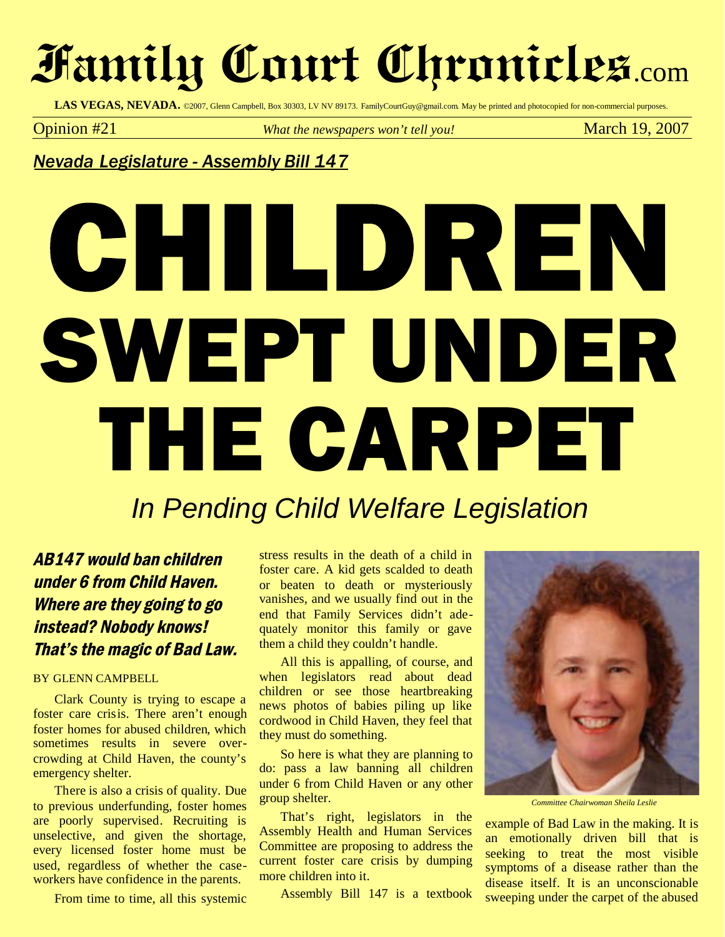# **Family Court Chronicles**.com

LAS VEGAS, NEVADA. ©2007, Glenn Campbell, Box 30303, LV NV 89173. FamilyCourtGuy@gmail.com. May be printed and photocopied for non-commercial purposes.

**Opinion** #21 *What the newspapers won't tell you!* March 19, 2007

*Nevada Legislature - Assembly Bill 147*

# CHILDREN SWEPT UNDER THE CARPET

## *In Pending Child Welfare Legislation*

### AB147 would ban children under <sup>6</sup> from Child Haven. Where are they going to go instead? Nobody knows! That's the magic of Bad Law.

#### BY GLENN CAMPBELL

Clark County is trying to escape a foster care crisis. There aren't enough foster homes for abused children, which sometimes results in severe overcrowding at Child Haven, the county's emergency shelter.

There is also a crisis of quality. Due to previous underfunding, foster homes are poorly supervised. Recruiting is unselective, and given the shortage, every licensed foster home must be used, regardless of whether the caseworkers have confidence in the parents.

From time to time, all this systemic

stress results in the death of a child in foster care. A kid gets scalded to death or beaten to death or mysteriously vanishes, and we usually find out in the end that Family Services didn't adequately monitor this family or gave them a child they couldn't handle.

All this is appalling, of course, and when legislators read about dead children or see those heartbreaking news photos of babies piling up like cordwood in Child Haven, they feel that they must do something.

So here is what they are planning to do: pass a law banning all children under 6 from Child Haven or any other group shelter.

That's right, legislators in the Assembly Health and Human Services Committee are proposing to address the current foster care crisis by dumping more children into it.

Assembly Bill 147 is a textbook



*Committee Chairwoman Sheila Leslie*

example of Bad Law in the making. It is an emotionally driven bill that is seeking to treat the most visible symptoms of a disease rather than the disease itself. It is an unconscionable sweeping under the carpet of the abused